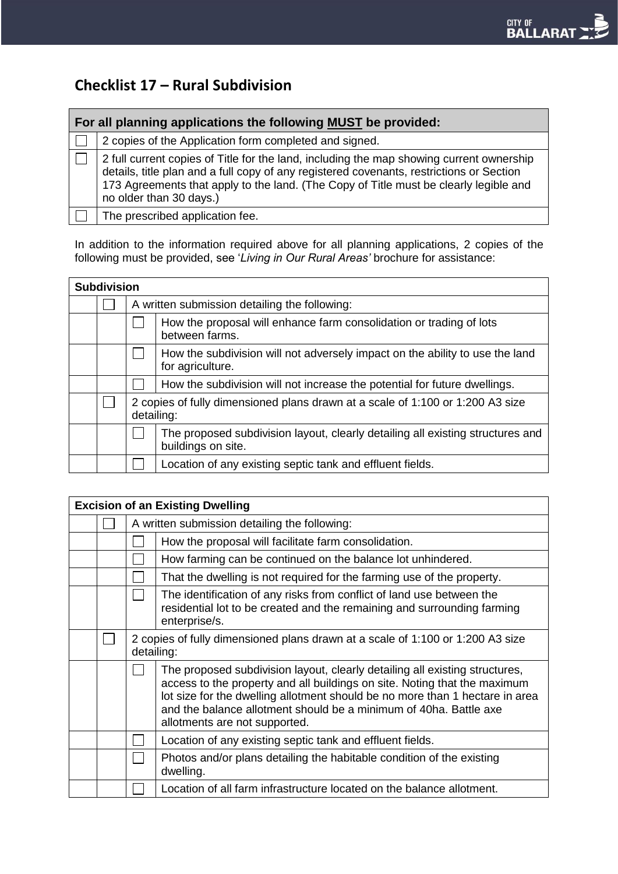# **Checklist 17 – Rural Subdivision**

| For all planning applications the following MUST be provided: |                                                                                                                                                                                                                                                                                                          |  |  |  |  |  |
|---------------------------------------------------------------|----------------------------------------------------------------------------------------------------------------------------------------------------------------------------------------------------------------------------------------------------------------------------------------------------------|--|--|--|--|--|
|                                                               | 2 copies of the Application form completed and signed.                                                                                                                                                                                                                                                   |  |  |  |  |  |
|                                                               | 2 full current copies of Title for the land, including the map showing current ownership<br>details, title plan and a full copy of any registered covenants, restrictions or Section<br>173 Agreements that apply to the land. (The Copy of Title must be clearly legible and<br>no older than 30 days.) |  |  |  |  |  |
|                                                               | The prescribed application fee.                                                                                                                                                                                                                                                                          |  |  |  |  |  |

In addition to the information required above for all planning applications, 2 copies of the following must be provided, see '*Living in Our Rural Areas'* brochure for assistance:

| <b>Subdivision</b> |  |                                                                                              |                                                                                                      |  |  |
|--------------------|--|----------------------------------------------------------------------------------------------|------------------------------------------------------------------------------------------------------|--|--|
|                    |  |                                                                                              | A written submission detailing the following:                                                        |  |  |
|                    |  |                                                                                              | How the proposal will enhance farm consolidation or trading of lots<br>between farms.                |  |  |
|                    |  |                                                                                              | How the subdivision will not adversely impact on the ability to use the land<br>for agriculture.     |  |  |
|                    |  |                                                                                              | How the subdivision will not increase the potential for future dwellings.                            |  |  |
|                    |  | 2 copies of fully dimensioned plans drawn at a scale of 1:100 or 1:200 A3 size<br>detailing: |                                                                                                      |  |  |
|                    |  |                                                                                              | The proposed subdivision layout, clearly detailing all existing structures and<br>buildings on site. |  |  |
|                    |  |                                                                                              | Location of any existing septic tank and effluent fields.                                            |  |  |

| <b>Excision of an Existing Dwelling</b> |  |                                                                                              |                                                                                                                                                                                                                                                                                                                                                |  |  |
|-----------------------------------------|--|----------------------------------------------------------------------------------------------|------------------------------------------------------------------------------------------------------------------------------------------------------------------------------------------------------------------------------------------------------------------------------------------------------------------------------------------------|--|--|
|                                         |  |                                                                                              | A written submission detailing the following:                                                                                                                                                                                                                                                                                                  |  |  |
|                                         |  |                                                                                              | How the proposal will facilitate farm consolidation.                                                                                                                                                                                                                                                                                           |  |  |
|                                         |  |                                                                                              | How farming can be continued on the balance lot unhindered.                                                                                                                                                                                                                                                                                    |  |  |
|                                         |  |                                                                                              | That the dwelling is not required for the farming use of the property.                                                                                                                                                                                                                                                                         |  |  |
|                                         |  |                                                                                              | The identification of any risks from conflict of land use between the<br>residential lot to be created and the remaining and surrounding farming<br>enterprise/s.                                                                                                                                                                              |  |  |
|                                         |  | 2 copies of fully dimensioned plans drawn at a scale of 1:100 or 1:200 A3 size<br>detailing: |                                                                                                                                                                                                                                                                                                                                                |  |  |
|                                         |  |                                                                                              | The proposed subdivision layout, clearly detailing all existing structures,<br>access to the property and all buildings on site. Noting that the maximum<br>lot size for the dwelling allotment should be no more than 1 hectare in area<br>and the balance allotment should be a minimum of 40ha. Battle axe<br>allotments are not supported. |  |  |
|                                         |  |                                                                                              | Location of any existing septic tank and effluent fields.                                                                                                                                                                                                                                                                                      |  |  |
|                                         |  |                                                                                              | Photos and/or plans detailing the habitable condition of the existing<br>dwelling.                                                                                                                                                                                                                                                             |  |  |
|                                         |  |                                                                                              | Location of all farm infrastructure located on the balance allotment.                                                                                                                                                                                                                                                                          |  |  |